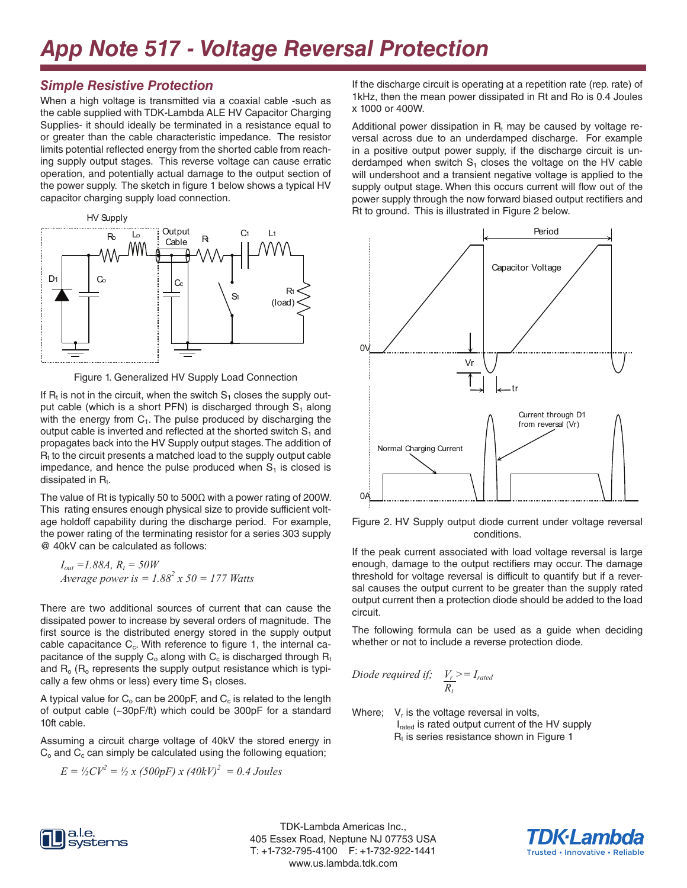# *App Note 517 - Voltage Reversal Protection*

### *Simple Resistive Protection*

When a high voltage is transmitted via a coaxial cable -such as the cable supplied with TDK-Lambda ALE HV Capacitor Charging Supplies- it should ideally be terminated in a resistance equal to or greater than the cable characteristic impedance. The resistor limits potential reflected energy from the shorted cable from reaching supply output stages. This reverse voltage can cause erratic operation, and potentially actual damage to the output section of the power supply. The sketch in figure 1 below shows a typical HV capacitor charging supply load connection.



Figure 1. Generalized HV Supply Load Connection

If  $R_t$  is not in the circuit, when the switch  $S_1$  closes the supply output cable (which is a short PFN) is discharged through  $S_1$  along with the energy from  $C_1$ . The pulse produced by discharging the output cable is inverted and reflected at the shorted switch  $S_1$  and propagates back into the HV Supply output stages. The addition of  $R<sub>t</sub>$  to the circuit presents a matched load to the supply output cable impedance, and hence the pulse produced when  $S<sub>1</sub>$  is closed is dissipated in  $R_t$ .

The value of Rt is typically 50 to 500 $\Omega$  with a power rating of 200W. This rating ensures enough physical size to provide sufficient voltage holdoff capability during the discharge period. For example, the power rating of the terminating resistor for a series 303 supply @ 40kV can be calculated as follows:

 $I_{out} = 1.88A, R_t = 50W$ *Average power is = 1.882 x 50 = 177 Watts*

There are two additional sources of current that can cause the dissipated power to increase by several orders of magnitude. The first source is the distributed energy stored in the supply output cable capacitance  $C_c$ . With reference to figure 1, the internal capacitance of the supply  $C_0$  along with  $C_c$  is discharged through  $R_t$ and  $R_0$  ( $R_0$  represents the supply output resistance which is typically a few ohms or less) every time  $S<sub>1</sub>$  closes.

A typical value for  $C_0$  can be 200pF, and  $C_0$  is related to the length of output cable (~30pF/ft) which could be 300pF for a standard 10ft cable.

Assuming a circuit charge voltage of 40kV the stored energy in  $C<sub>o</sub>$  and  $C<sub>c</sub>$  can simply be calculated using the following equation;

$$
E = \frac{1}{2}CV^2 = \frac{1}{2}x(500pF)x(40kV)^2 = 0.4 \text{ Joules}
$$

If the discharge circuit is operating at a repetition rate (rep. rate) of 1kHz, then the mean power dissipated in Rt and Ro is 0.4 Joules x 1000 or 400W.

Additional power dissipation in  $R_t$  may be caused by voltage reversal across due to an underdamped discharge. For example in a positive output power supply, if the discharge circuit is underdamped when switch  $S<sub>1</sub>$  closes the voltage on the HV cable will undershoot and a transient negative voltage is applied to the supply output stage. When this occurs current will flow out of the power supply through the now forward biased output rectifiers and Rt to ground. This is illustrated in Figure 2 below.



Figure 2. HV Supply output diode current under voltage reversal conditions.

If the peak current associated with load voltage reversal is large enough, damage to the output rectifiers may occur. The damage threshold for voltage reversal is difficult to quantify but if a reversal causes the output current to be greater than the supply rated output current then a protection diode should be added to the load circuit.

The following formula can be used as a guide when deciding whether or not to include a reverse protection diode.

$$
Diode required if; \quad V_r^{\ }>=I_{rated}
$$
\n
$$
R_t
$$

Where;  $V_r$  is the voltage reversal in volts, I<sub>rated</sub> is rated output current of the HV supply  $R<sub>t</sub>$  is series resistance shown in Figure 1



TDK-Lambda Americas Inc., 405 Essex Road, Neptune NJ 07753 USA T: +1-732-795-4100 F: +1-732-922-1441 www.us.lambda.tdk.com